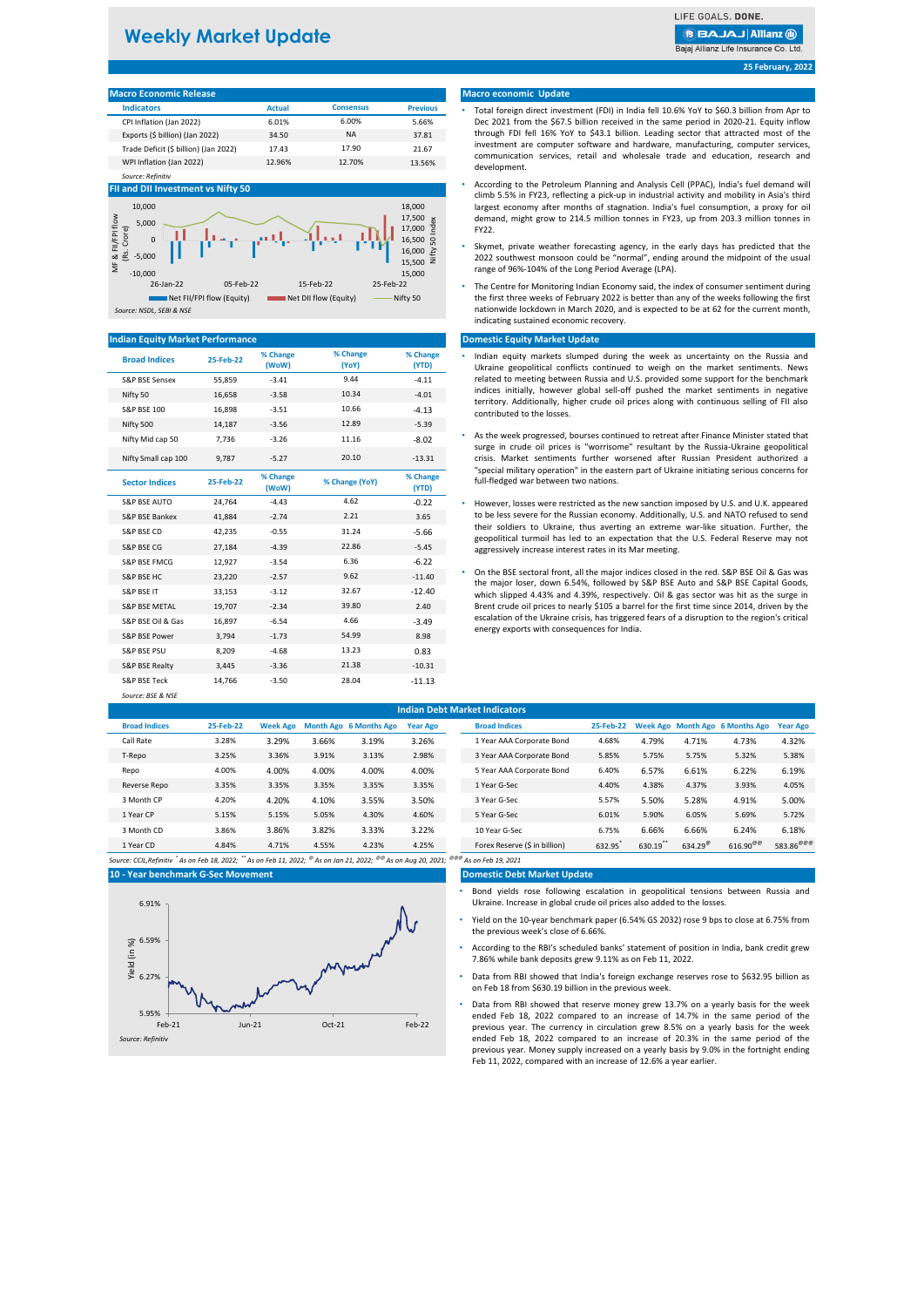# **Weekly Market Update**

LIFE GOALS, DONE.

**BBAJAJ Allianz (ii)** 

Baiai Allianz Life Insurance Co. Ltd.

**25 February, 2022**

| <b>Macro Economic Release</b>         |               |                  |                 |  |  |  |  |  |
|---------------------------------------|---------------|------------------|-----------------|--|--|--|--|--|
| <b>Indicators</b>                     | <b>Actual</b> | <b>Consensus</b> | <b>Previous</b> |  |  |  |  |  |
| CPI Inflation (Jan 2022)              | 6.01%         | 6.00%            | 5.66%           |  |  |  |  |  |
| Exports (\$ billion) (Jan 2022)       | 34.50         | <b>NA</b>        | 37.81           |  |  |  |  |  |
| Trade Deficit (\$ billion) (Jan 2022) | 17.43         | 17.90            | 21.67           |  |  |  |  |  |
| WPI Inflation (Jan 2022)              | 12.96%        | 12.70%           | 13.56%          |  |  |  |  |  |

#### **FII and DII Investment vs Nifty 50**

*Source: Refinitiv*



## **Indian Equity Market Performance**

| <b>Broad Indices</b>     | 25-Feb-22 | % Change<br>(WoW) | % Change<br>(YoY) | % Change<br>(YTD) | Indian equity markets slumped during the week as uncertainty on the Russia and<br>Ukraine geopolitical conflicts continued to weigh on the market sentiments. News                                                                                                      |
|--------------------------|-----------|-------------------|-------------------|-------------------|-------------------------------------------------------------------------------------------------------------------------------------------------------------------------------------------------------------------------------------------------------------------------|
| S&P BSE Sensex           | 55,859    | $-3.41$           | 9.44              | $-4.11$           | related to meeting between Russia and U.S. provided some support for the benchmark                                                                                                                                                                                      |
| Nifty 50                 | 16.658    | $-3.58$           | 10.34             | $-4.01$           | indices initially, however global sell-off pushed the market sentiments in negative                                                                                                                                                                                     |
| <b>S&amp;P BSE 100</b>   | 16,898    | $-3.51$           | 10.66             | $-4.13$           | territory. Additionally, higher crude oil prices along with continuous selling of FII also<br>contributed to the losses.                                                                                                                                                |
| Nifty 500                | 14,187    | $-3.56$           | 12.89             | $-5.39$           |                                                                                                                                                                                                                                                                         |
| Nifty Mid cap 50         | 7,736     | $-3.26$           | 11.16             | $-8.02$           | As the week progressed, bourses continued to retreat after Finance Minister stated that                                                                                                                                                                                 |
| Nifty Small cap 100      | 9,787     | $-5.27$           | 20.10             | $-13.31$          | surge in crude oil prices is "worrisome" resultant by the Russia-Ukraine geopolitical<br>crisis. Market sentiments further worsened after Russian President authorized a<br>"special military operation" in the eastern part of Ukraine initiating serious concerns for |
| <b>Sector Indices</b>    | 25-Feb-22 | % Change<br>(WoW) | % Change (YoY)    | % Change<br>(YTD) | full-fledged war between two nations.                                                                                                                                                                                                                                   |
| <b>S&amp;P BSE AUTO</b>  | 24,764    | $-4.43$           | 4.62              | $-0.22$           | • However, losses were restricted as the new sanction imposed by U.S. and U.K. appeared                                                                                                                                                                                 |
| S&P BSE Bankex           | 41,884    | $-2.74$           | 2.21              | 3.65              | to be less severe for the Russian economy. Additionally, U.S. and NATO refused to send                                                                                                                                                                                  |
| S&P BSE CD               | 42,235    | $-0.55$           | 31.24             | $-5.66$           | their soldiers to Ukraine, thus averting an extreme war-like situation. Further, the<br>geopolitical turmoil has led to an expectation that the U.S. Federal Reserve may not                                                                                            |
| S&P BSE CG               | 27,184    | $-4.39$           | 22.86             | $-5.45$           | aggressively increase interest rates in its Mar meeting.                                                                                                                                                                                                                |
| S&P BSE FMCG             | 12,927    | $-3.54$           | 6.36              | $-6.22$           |                                                                                                                                                                                                                                                                         |
| S&P BSE HC               | 23,220    | $-2.57$           | 9.62              | $-11.40$          | On the BSE sectoral front, all the major indices closed in the red. S&P BSE Oil & Gas was<br>the major loser, down 6.54%, followed by S&P BSE Auto and S&P BSE Capital Goods,                                                                                           |
| S&P BSE IT               | 33,153    | $-3.12$           | 32.67             | $-12.40$          | which slipped 4.43% and 4.39%, respectively. Oil & gas sector was hit as the surge in                                                                                                                                                                                   |
| <b>S&amp;P BSE METAL</b> | 19,707    | $-2.34$           | 39.80             | 2.40              | Brent crude oil prices to nearly \$105 a barrel for the first time since 2014, driven by the                                                                                                                                                                            |
| S&P BSE Oil & Gas        | 16,897    | $-6.54$           | 4.66              | $-3.49$           | escalation of the Ukraine crisis, has triggered fears of a disruption to the region's critical                                                                                                                                                                          |
| S&P BSE Power            | 3,794     | $-1.73$           | 54.99             | 8.98              | energy exports with consequences for India.                                                                                                                                                                                                                             |
| S&P BSE PSU              | 8,209     | $-4.68$           | 13.23             | 0.83              |                                                                                                                                                                                                                                                                         |
| S&P BSE Realty           | 3,445     | $-3.36$           | 21.38             | $-10.31$          |                                                                                                                                                                                                                                                                         |
| S&P BSE Teck             | 14.766    | $-3.50$           | 28.04             | $-11.13$          |                                                                                                                                                                                                                                                                         |
| Source: BSE & NSE        |           |                   |                   |                   |                                                                                                                                                                                                                                                                         |

#### **Macro economic Update**

- Total foreign direct investment (FDI) in India fell 10.6% YoY to \$60.3 billion from Apr to Dec 2021 from the \$67.5 billion received in the same period in 2020-21. Equity inflow through FDI fell 16% YoY to \$43.1 billion. Leading sector that attracted most of the investment are computer software and hardware, manufacturing, computer services, communication services, retail and wholesale trade and education, research and development.
- According to the Petroleum Planning and Analysis Cell (PPAC), India's fuel demand will climb 5.5% in FY23, reflecting a pick-up in industrial activity and mobility in Asia's third largest economy after months of stagnation. India's fuel consumption, a proxy for oil demand, might grow to 214.5 million tonnes in FY23, up from 203.3 million tonnes in FY22.
- Skymet, private weather forecasting agency, in the early days has predicted that the 2022 southwest monsoon could be "normal", ending around the midpoint of the usual range of 96%-104% of the Long Period Average (LPA).
- The Centre for Monitoring Indian Economy said, the index of consumer sentiment during the first three weeks of February 2022 is better than any of the weeks following the first nationwide lockdown in March 2020, and is expected to be at 62 for the current month, indicating sustained economic recovery.

#### **Domestic Equity Market Update**

- Indian equity markets slumped during the week as uncertainty on the Russia and Ukraine geopolitical conflicts continued to weigh on the market sentiments. News related to meeting between Russia and U.S. provided some support for the benchmark indices initially, however global sell-off pushed the market sentiments in negative territory. Additionally, higher crude oil prices along with continuous selling of FII also contributed to the losses.
- As the week progressed, bourses continued to retreat after Finance Minister stated that surge in crude oil prices is "worrisome" resultant by the Russia-Ukraine geopolitical crisis. Market sentiments further worsened after Russian President authorized a "special military operation" in the eastern part of Ukraine initiating serious concerns for full-fledged war between two nations.
- However, losses were restricted as the new sanction imposed by U.S. and U.K. appeared to be less severe for the Russian economy. Additionally, U.S. and NATO refused to send their soldiers to Ukraine, thus averting an extreme war-like situation. Further, the geopolitical turmoil has led to an expectation that the U.S. Federal Reserve may not aggressively increase interest rates in its Mar meeting.
- the major loser, down 6.54%, followed by S&P BSE Auto and S&P BSE Capital Goods, which slipped 4.43% and 4.39%, respectively. Oil & gas sector was hit as the surge in Brent crude oil prices to nearly \$105 a barrel for the first time since 2014, driven by the escalation of the Ukraine crisis, has triggered fears of a disruption to the region's critical energy exports with consequences for India.

| <b>Indian Debt Market Indicators</b> |           |                 |       |                               |                 |                               |           |        |                  |                                 |                                  |
|--------------------------------------|-----------|-----------------|-------|-------------------------------|-----------------|-------------------------------|-----------|--------|------------------|---------------------------------|----------------------------------|
| <b>Broad Indices</b>                 | 25-Feb-22 | <b>Week Ago</b> |       | <b>Month Ago 6 Months Ago</b> | <b>Year Ago</b> | <b>Broad Indices</b>          | 25-Feb-22 |        |                  | Week Ago Month Ago 6 Months Ago | <b>Year Ago</b>                  |
| Call Rate                            | 3.28%     | 3.29%           | 3.66% | 3.19%                         | 3.26%           | 1 Year AAA Corporate Bond     | 4.68%     | 4.79%  | 4.71%            | 4.73%                           | 4.32%                            |
| T-Repo                               | 3.25%     | 3.36%           | 3.91% | 3.13%                         | 2.98%           | 3 Year AAA Corporate Bond     | 5.85%     | 5.75%  | 5.75%            | 5.32%                           | 5.38%                            |
| Repo                                 | 4.00%     | 4.00%           | 4.00% | 4.00%                         | 4.00%           | 5 Year AAA Corporate Bond     | 6.40%     | 6.57%  | 6.61%            | 6.22%                           | 6.19%                            |
| Reverse Repo                         | 3.35%     | 3.35%           | 3.35% | 3.35%                         | 3.35%           | 1 Year G-Sec                  | 4.40%     | 4.38%  | 4.37%            | 3.93%                           | 4.05%                            |
| 3 Month CP                           | 4.20%     | 4.20%           | 4.10% | 3.55%                         | 3.50%           | 3 Year G-Sec                  | 5.57%     | 5.50%  | 5.28%            | 4.91%                           | 5.00%                            |
| 1 Year CP                            | 5.15%     | 5.15%           | 5.05% | 4.30%                         | 4.60%           | 5 Year G-Sec                  | 6.01%     | 5.90%  | 6.05%            | 5.69%                           | 5.72%                            |
| 3 Month CD                           | 3.86%     | 3.86%           | 3.82% | 3.33%                         | 3.22%           | 10 Year G-Sec                 | 6.75%     | 6.66%  | 6.66%            | 6.24%                           | 6.18%                            |
| 1 Year CD                            | 4.84%     | 4.71%           | 4.55% | 4.23%                         | 4.25%           | Forex Reserve (\$ in billion) | 632.95    | 630.19 | $634.29^{\circ}$ | $616.90^{\circ\circ}$           | 583.86 $^{\oplus \oplus \oplus}$ |
| As on Feb 19, 2021                   |           |                 |       |                               |                 |                               |           |        |                  |                                 |                                  |

#### **10 - Year benchmark G-Sec Movement**



## **Domestic Debt Market Update**

- Bond yields rose following escalation in geopolitical tensions between Russia and Ukraine. Increase in global crude oil prices also added to the losses.
- Yield on the 10-year benchmark paper (6.54% GS 2032) rose 9 bps to close at 6.75% from the previous week's close of 6.66%.
- According to the RBI's scheduled banks' statement of position in India, bank credit grew 7.86% while bank deposits grew 9.11% as on Feb 11, 2022.
- Data from RBI showed that India's foreign exchange reserves rose to \$632.95 billion as on Feb 18 from \$630.19 billion in the previous week.
- Data from RBI showed that reserve money grew 13.7% on a yearly basis for the week ended Feb 18, 2022 compared to an increase of 14.7% in the same period of the previous year. The currency in circulation grew 8.5% on a yearly basis for the week ended Feb 18, 2022 compared to an increase of 20.3% in the same period of the previous year. Money supply increased on a yearly basis by 9.0% in the fortnight ending Feb 11, 2022, compared with an increase of 12.6% a year earlier.